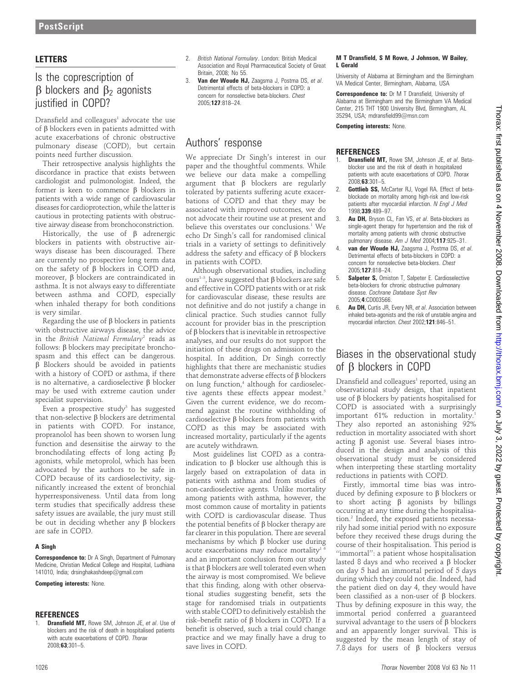## LETTERS

## Is the coprescription of  $\beta$  blockers and  $\beta_2$  agonists justified in COPD?

Dransfield and colleagues $1$  advocate the use of  $\beta$  blockers even in patients admitted with acute exacerbations of chronic obstructive pulmonary disease (COPD), but certain points need further discussion.

Their retrospective analysis highlights the discordance in practice that exists between cardiologist and pulmonologist. Indeed, the former is keen to commence  $\beta$  blockers in patients with a wide range of cardiovascular diseases for cardioprotection, while the latter is cautious in protecting patients with obstructive airway disease from bronchoconstriction.

Historically, the use of  $\beta$  adrenergic blockers in patients with obstructive airways disease has been discouraged. There are currently no prospective long term data on the safety of  $\beta$  blockers in COPD and, moreover, b blockers are contraindicated in asthma. It is not always easy to differentiate between asthma and COPD, especially when inhaled therapy for both conditions is very similar.

Regarding the use of  $\beta$  blockers in patients with obstructive airways disease, the advice in the British National Formulary<sup>2</sup> reads as follows:  $\beta$  blockers may precipitate bronchospasm and this effect can be dangerous.  $\beta$  Blockers should be avoided in patients with a history of COPD or asthma, if there is no alternative, a cardioselective  $\beta$  blocker may be used with extreme caution under specialist supervision.

Even a prospective study<sup>3</sup> has suggested that non-selective  $\beta$  blockers are detrimental in patients with COPD. For instance, propranolol has been shown to worsen lung function and desensitise the airway to the bronchodilating effects of long acting  $\beta_2$ agonists, while metoprolol, which has been advocated by the authors to be safe in COPD because of its cardioselectivity, significantly increased the extent of bronchial hyperresponsiveness. Until data from long term studies that specifically address these safety issues are available, the jury must still be out in deciding whether any  $\beta$  blockers are safe in COPD.

### A Singh

**Correspondence to:** Dr A Singh, Department of Pulmonary Medicine, Christian Medical College and Hospital, Ludhiana 141010, India; drsinghakashdeep@gmail.com

### Competing interests: None.

### **REFERENCES**

Dransfield MT, Rowe SM, Johnson JE, et al. Use of blockers and the risk of death in hospitalised patients with acute exacerbations of COPD. Thorax 2008;63;301–5.

- 2. British National Formulary. London: British Medical Association and Royal Pharmaceutical Society of Great Britain, 2008; No 55.
- 3. Van der Woude HJ, Zaagsma J, Postma DS, et al. Detrimental effects of beta-blockers in COPD: a concern for nonselective beta-blockers. Chest 2005;127:818–24.

## Authors' response

We appreciate Dr Singh's interest in our paper and the thoughtful comments. While we believe our data make a compelling argument that  $\beta$  blockers are regularly tolerated by patients suffering acute exacerbations of COPD and that they may be associated with improved outcomes, we do not advocate their routine use at present and believe this overstates our conclusions.<sup>1</sup> We echo Dr Singh's call for randomised clinical trials in a variety of settings to definitively address the safety and efficacy of  $\beta$  blockers in patients with COPD.

Although observational studies, including ours<sup>1-3</sup>, have suggested that  $\beta$  blockers are safe and effective in COPD patients with or at risk for cardiovascular disease, these results are not definitive and do not justify a change in clinical practice. Such studies cannot fully account for provider bias in the prescription of b blockers that is inevitable in retrospective analyses, and our results do not support the initiation of these drugs on admission to the hospital. In addition, Dr Singh correctly highlights that there are mechanistic studies that demonstrate adverse effects of  $\beta$  blockers on lung function,<sup>4</sup> although for cardioselective agents these effects appear modest.<sup>5</sup> Given the current evidence, we do recommend against the routine withholding of cardioselective  $\beta$  blockers from patients with COPD as this may be associated with increased mortality, particularly if the agents are acutely withdrawn.

Most guidelines list COPD as a contraindication to  $\beta$  blocker use although this is largely based on extrapolation of data in patients with asthma and from studies of non-cardioselective agents. Unlike mortality among patients with asthma, however, the most common cause of mortality in patients with COPD is cardiovascular disease. Thus the potential benefits of  $\beta$  blocker therapy are far clearer in this population. There are several mechanisms by which  $\beta$  blocker use during acute exacerbations may reduce mortality<sup>1</sup> and an important conclusion from our study is that  $\beta$  blockers are well tolerated even when the airway is most compromised. We believe that this finding, along with other observational studies suggesting benefit, sets the stage for randomised trials in outpatients with stable COPD to definitively establish the risk–benefit ratio of  $\beta$  blockers in COPD. If a benefit is observed, such a trial could change practice and we may finally have a drug to save lives in COPD.

### M T Dransfield, S M Rowe, J Johnson, W Bailey, L Gerald

University of Alabama at Birmingham and the Birmingham VA Medical Center, Birmingham, Alabama, USA

Correspondence to: Dr M T Dransfield, University of Alabama at Birmingham and the Birmingham VA Medical Center, 215 THT 1900 University Blvd, Birmingham, AL 35294, USA; mdransfield99@msn.com

Competing interests: None.

### **REFERENCES**

- Dransfield MT, Rowe SM, Johnson JE, et al. Betablocker use and the risk of death in hospitalized patients with acute exacerbations of COPD. Thorax 2008;63:301–5.
- 2. **Gottlieb SS, McCarter RJ, Vogel RA. Effect of beta**blockade on mortality among high-risk and low-risk patients after myocardial infarction. N Engl J Med 1998;339:489–97.
- 3. **Au DH, Bryson CL, Fan VS, et al. Beta-blockers as** single-agent therapy for hypertension and the risk of mortality among patients with chronic obstructive pulmonary disease. Am J Med 2004;117:925–31.
- van der Woude HJ, Zaagsma J, Postma DS, et al. Detrimental effects of beta-blockers in COPD: a concern for nonselective beta-blockers. Chest 2005;127:818–24.
- 5. Salpeter S, Omiston T, Salpeter E. Cardioselective beta-blockers for chronic obstructive pulmonary disease. Cochrane Database Syst Rev 2005;4:CD003566.
- 6. Au DH, Curtis JR, Every NR, et al. Association between inhaled beta-agonists and the risk of unstable angina and myocardial infarction. Chest 2002;121:846–51.

## Biases in the observational study of  $\beta$  blockers in COPD

Dransfield and colleagues<sup>1</sup> reported, using an observational study design, that inpatient use of  $\beta$  blockers by patients hospitalised for COPD is associated with a surprisingly important 61% reduction in mortality.<sup>1</sup> They also reported an astonishing 92% reduction in mortality associated with short acting  $\beta$  agonist use. Several biases introduced in the design and analysis of this observational study must be considered when interpreting these startling mortality reductions in patients with COPD.

Firstly, immortal time bias was introduced by defining exposure to  $\beta$  blockers or to short acting  $\beta$  agonists by billings occurring at any time during the hospitalisation.2 Indeed, the exposed patients necessarily had some initial period with no exposure before they received these drugs during the course of their hospitalisation. This period is "immortal": a patient whose hospitalisation lasted 8 days and who received a  $\beta$  blocker on day 5 had an immortal period of 5 days during which they could not die. Indeed, had the patient died on day 4, they would have been classified as a non-user of  $\beta$  blockers. Thus by defining exposure in this way, the immortal period conferred a guaranteed survival advantage to the users of  $\beta$  blockers and an apparently longer survival. This is suggested by the mean length of stay of 7.8 days for users of  $\beta$  blockers versus